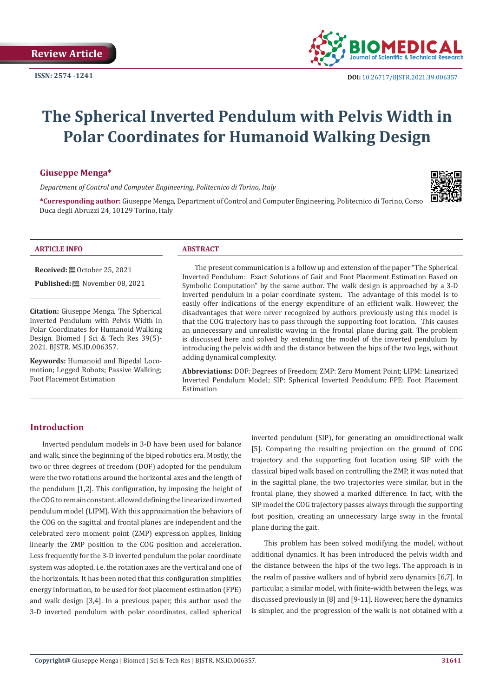

# **The Spherical Inverted Pendulum with Pelvis Width in Polar Coordinates for Humanoid Walking Design**

#### **Giuseppe Menga\***

*Department of Control and Computer Engineering, Politecnico di Torino, Italy*



**\*Corresponding author:** Giuseppe Menga, Department of Control and Computer Engineering, Politecnico di Torino, Corso Duca degli Abruzzi 24, 10129 Torino, Italy

#### **ARTICLE INFO ABSTRACT**

**Received:** ■ October 25, 2021

**Published:** November 08, 2021

**Citation:** Giuseppe Menga. The Spherical Inverted Pendulum with Pelvis Width in Polar Coordinates for Humanoid Walking Design. Biomed J Sci & Tech Res 39(5)- 2021. BJSTR. MS.ID.006357.

**Keywords:** Humanoid and Bipedal Locomotion; Legged Robots; Passive Walking; Foot Placement Estimation

The present communication is a follow up and extension of the paper "The Spherical Inverted Pendulum: Exact Solutions of Gait and Foot Placement Estimation Based on Symbolic Computation" by the same author. The walk design is approached by a 3-D inverted pendulum in a polar coordinate system. The advantage of this model is to easily offer indications of the energy expenditure of an efficient walk. However, the disadvantages that were never recognized by authors previously using this model is that the COG trajectory has to pass through the supporting foot location. This causes an unnecessary and unrealistic waving in the frontal plane during gait. The problem is discussed here and solved by extending the model of the inverted pendulum by introducing the pelvis width and the distance between the hips of the two legs, without adding dynamical complexity.

**Abbreviations:** DOF: Degrees of Freedom; ZMP: Zero Moment Point; LIPM: Linearized Inverted Pendulum Model; SIP: Spherical Inverted Pendulum; FPE: Foot Placement Estimation

### **Introduction**

Inverted pendulum models in 3-D have been used for balance and walk, since the beginning of the biped robotics era. Mostly, the two or three degrees of freedom (DOF) adopted for the pendulum were the two rotations around the horizontal axes and the length of the pendulum [1,2]. This configuration, by imposing the height of the COG to remain constant, allowed defining the linearized inverted pendulum model (LIPM). With this approximation the behaviors of the COG on the sagittal and frontal planes are independent and the celebrated zero moment point (ZMP) expression applies, linking linearly the ZMP position to the COG position and acceleration. Less frequently for the 3-D inverted pendulum the polar coordinate system was adopted, i.e. the rotation axes are the vertical and one of the horizontals. It has been noted that this configuration simplifies energy information, to be used for foot placement estimation (FPE) and walk design [3,4]. In a previous paper, this author used the 3-D inverted pendulum with polar coordinates, called spherical

inverted pendulum (SIP), for generating an omnidirectional walk [5]. Comparing the resulting projection on the ground of COG trajectory and the supporting foot location using SIP with the classical biped walk based on controlling the ZMP, it was noted that in the sagittal plane, the two trajectories were similar, but in the frontal plane, they showed a marked difference. In fact, with the SIP model the COG trajectory passes always through the supporting foot position, creating an unnecessary large sway in the frontal plane during the gait.

This problem has been solved modifying the model, without additional dynamics. It has been introduced the pelvis width and the distance between the hips of the two legs. The approach is in the realm of passive walkers and of hybrid zero dynamics [6,7]. In particular, a similar model, with finite-width between the legs, was discussed previously in [8] and [9-11]. However, here the dynamics is simpler, and the progression of the walk is not obtained with a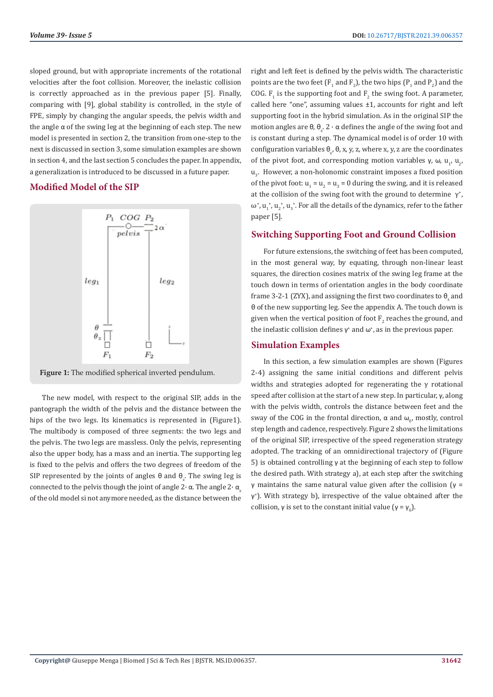sloped ground, but with appropriate increments of the rotational velocities after the foot collision. Moreover, the inelastic collision is correctly approached as in the previous paper [5]. Finally, comparing with [9], global stability is controlled, in the style of FPE, simply by changing the angular speeds, the pelvis width and the angle  $\alpha$  of the swing leg at the beginning of each step. The new model is presented in section 2, the transition from one-step to the next is discussed in section 3, some simulation examples are shown in section 4, and the last section 5 concludes the paper. In appendix, a generalization is introduced to be discussed in a future paper.

# **Modified Model of the SIP**



**Figure 1:** The modified spherical inverted pendulum.

The new model, with respect to the original SIP, adds in the pantograph the width of the pelvis and the distance between the hips of the two legs. Its kinematics is represented in (Figure1). The multibody is composed of three segments: the two legs and the pelvis. The two legs are massless. Only the pelvis, representing also the upper body, has a mass and an inertia. The supporting leg is fixed to the pelvis and offers the two degrees of freedom of the SIP represented by the joints of angles  $\theta$  and  $\theta_{\rm z}$ . The swing leg is connected to the pelvis though the joint of angle  $2 \cdot \alpha$ . The angle  $2 \cdot \alpha$ of the old model si not anymore needed, as the distance between the

right and left feet is defined by the pelvis width. The characteristic points are the two feet  $(F_1$  and  $F_2$ ), the two hips  $(P_1$  and  $P_2$ ) and the COG.  $F_1$  is the supporting foot and  $F_2$  the swing foot. A parameter, called here "one", assuming values ±1, accounts for right and left supporting foot in the hybrid simulation. As in the original SIP the motion angles are  $\theta$ ,  $\theta$ <sub>z</sub>.  $2 \cdot \alpha$  defines the angle of the swing foot and is constant during a step. The dynamical model is of order 10 with configuration variables  $\theta_{z}$ ,  $\theta$ , x, y, z, where x, y, z are the coordinates of the pivot foot, and corresponding motion variables γ, ω,  $u_1$ ,  $u_2$ ,  $\mathbf{u}_{3}$ . However, a non-holonomic constraint imposes a fixed position of the pivot foot:  $u_1 = u_2 = u_3 = 0$  during the swing, and it is released at the collision of the swing foot with the ground to determine  $\gamma^*$ ,  $\omega^*$ ,  $u_1^*$ ,  $u_2^*$ ,  $u_3^*$ . For all the details of the dynamics, refer to the father paper [5].

# **Switching Supporting Foot and Ground Collision**

For future extensions, the switching of feet has been computed, in the most general way, by equating, through non-linear least squares, the direction cosines matrix of the swing leg frame at the touch down in terms of orientation angles in the body coordinate frame 3-2-1 (ZYX), and assigning the first two coordinates to  $\theta_z$  and θ of the new supporting leg. See the appendix A. The touch down is given when the vertical position of foot  $\mathrm{F}_2$  reaches the ground, and the inelastic collision defines  $γ^*$  and  $ω^*$ , as in the previous paper.

# **Simulation Examples**

In this section, a few simulation examples are shown (Figures 2-4) assigning the same initial conditions and different pelvis widths and strategies adopted for regenerating the  $\gamma$  rotational speed after collision at the start of a new step. In particular, γ, along with the pelvis width, controls the distance between feet and the sway of the COG in the frontal direction,  $\alpha$  and  $\omega_{0'}$ , mostly, control step length and cadence, respectively. Figure 2 shows the limitations of the original SIP, irrespective of the speed regeneration strategy adopted. The tracking of an omnidirectional trajectory of (Figure 5) is obtained controlling γ at the beginning of each step to follow the desired path. With strategy a), at each step after the switching γ maintains the same natural value given after the collision (γ = γ+ ). With strategy b), irrespective of the value obtained after the collision,  $\gamma$  is set to the constant initial value  $(\gamma = \gamma_0)$ .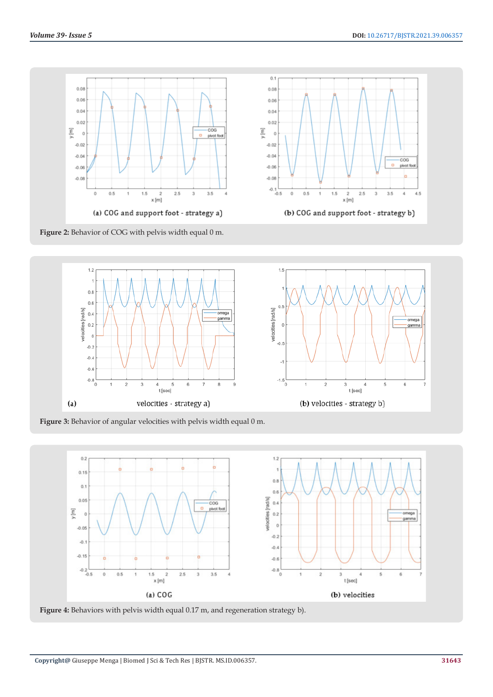$\overline{\cos}$ 

pivot fr Ь

 $3.5$  $\bar{4}$  $4.5$ 

3



**Figure 2:** Behavior of COG with pelvis width equal 0 m.





 $1.5$ 

 $\mathbf{1}$ 

 $2.5$ 

 $\overline{\mathbf{z}}$ 

 $x$  [m]

(b) COG and support foot - strategy b)

**Figure 3:** Behavior of angular velocities with pelvis width equal 0 m.



 $0.1$ 

 $0.08$ 

 $0.06$ 

 $0.04$ 

 $0.02$ 

 $-0.02$  $-0.04$ 

 $-0.06$ 

 $-0.08$  $-0.1$ <br> $-0.5$ 

 $\mathbf{0}$  $0.5$ 

 $\circ$ 

 $\overline{\underline{\epsilon}}$ 

**Figure 4:** Behaviors with pelvis width equal 0.17 m, and regeneration strategy b).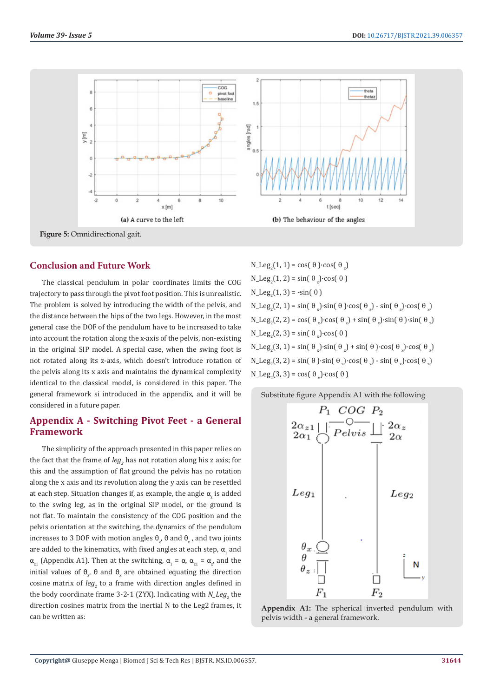

# **Conclusion and Future Work**

The classical pendulum in polar coordinates limits the COG trajectory to pass through the pivot foot position. This is unrealistic. The problem is solved by introducing the width of the pelvis, and the distance between the hips of the two legs. However, in the most general case the DOF of the pendulum have to be increased to take into account the rotation along the x-axis of the pelvis, non-existing in the original SIP model. A special case, when the swing foot is not rotated along its z-axis, which doesn't introduce rotation of the pelvis along its x axis and maintains the dynamical complexity identical to the classical model, is considered in this paper. The general framework si introduced in the appendix, and it will be considered in a future paper.

# **Appendix A - Switching Pivot Feet - a General Framework**

The simplicity of the approach presented in this paper relies on the fact that the frame of *leg<sub>2</sub>* has not rotation along his z axis; for this and the assumption of flat ground the pelvis has no rotation along the x axis and its revolution along the y axis can be resettled at each step. Situation changes if, as example, the angle  $\alpha_{\rm z}$  is added to the swing leg, as in the original SIP model, or the ground is not flat. To maintain the consistency of the COG position and the pelvis orientation at the switching, the dynamics of the pendulum increases to 3 DOF with motion angles  $θ_z$ , θ and  $θ_x$ , and two joints are added to the kinematics, with fixed angles at each step,  $\alpha_{1}$  and  $\alpha_{z1}$  (Appendix A1). Then at the switching,  $\alpha_1 = \alpha$ ,  $\alpha_{z1} = \alpha_{z}$ , and the initial values of  $θ_z$ ,  $θ$  and  $θ_x$  are obtained equating the direction cosine matrix of  $leg_2$  to a frame with direction angles defined in the body coordinate frame 3-2-1 (ZYX). Indicating with  $N_{\perp}$  Leg<sub>2</sub> the direction cosines matrix from the inertial N to the Leg2 frames, it can be written as:

 $N_{\text{e}}$ Leg<sub>2</sub>(1, 1) = cos( $\theta$ )·cos( $\theta_z$ )  $N_{\text{e}}$ Leg<sub>2</sub>(1, 2) = sin( $\theta_{z}$ )·cos( $\theta$ )  $N_{\text{e}}$ Leg<sub>2</sub>(1, 3) = -sin( $\theta$ )  $N_{\text{e}} \text{Leg}_2(2, 1) = \sin(\theta_x) \cdot \sin(\theta) \cdot \cos(\theta_x) - \sin(\theta_x) \cdot \cos(\theta_x)$  $N_{\text{e}} \text{Leg}_2(2, 2) = \cos(\theta_x) \cdot \cos(\theta_z) + \sin(\theta_x) \cdot \sin(\theta) \cdot \sin(\theta_z)$  $N_{\text{e}} \text{Leg}_2(2, 3) = \sin(\theta_x) \cdot \cos(\theta)$  $N_{\text{e}} \text{Leg}_2(3, 1) = \sin(\theta_x) \cdot \sin(\theta_z) + \sin(\theta) \cdot \cos(\theta_x) \cdot \cos(\theta_z)$  $N_{\text{e}} \text{Leg}_2(3, 2) = \sin(\theta) \cdot \sin(\theta_z) \cdot \cos(\theta_x) - \sin(\theta_x) \cdot \cos(\theta_z)$  $N_{\text{e}}$ Leg<sub>2</sub>(3, 3) = cos( $\theta_x$ )·cos( $\theta$ )